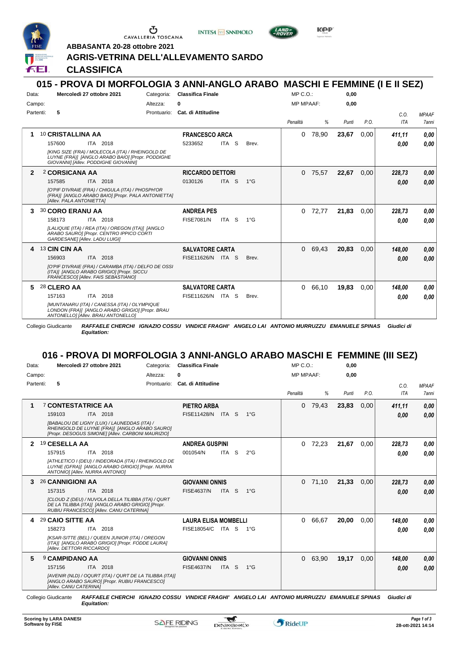

Ⴠ CAVALLERIA TOSCANA

**INTESA** M SANPAOLO



**KPP** 

**ABBASANTA 20-28 ottobre 2021**

#### **AGRIS-VETRINA DELL'ALLEVAMENTO SARDO**

**CLASSIFICA**

### **015 - PROVA DI MORFOLOGIA 3 ANNI-ANGLO ARABO MASCHI E FEMMINE (I E II SEZ)**

| Data:        | Mercoledì 27 ottobre 2021<br>Categoria:                                                                                                      | <b>Classifica Finale</b>                    | $MP C. O.$ :      | 0,00          |            |              |
|--------------|----------------------------------------------------------------------------------------------------------------------------------------------|---------------------------------------------|-------------------|---------------|------------|--------------|
| Campo:       | Altezza:                                                                                                                                     | 0                                           | <b>MP MPAAF:</b>  | 0,00          |            |              |
| Partenti:    | 5<br>Prontuario:                                                                                                                             | <b>Cat. di Attitudine</b>                   |                   |               | C.O.       | <b>MPAAF</b> |
|              |                                                                                                                                              |                                             | Penalità<br>%     | P.O.<br>Punti | <b>ITA</b> | <b>7anni</b> |
| 1            | 10 CRISTALLINA AA                                                                                                                            | <b>FRANCESCO ARCA</b>                       | 78,90<br>0        | 23,67<br>0,00 | 411,11     | 0.00         |
|              | 157600<br>ITA 2018                                                                                                                           | ITA S<br>5233652<br>Brev.                   |                   |               | 0.00       | 0.00         |
|              | [KING SIZE (FRA) / MOLECOLA (ITA) / RHEINGOLD DE<br>LUYNE (FRA)] [ANGLO ARABO BAIO] [Propr. PODDIGHE<br>GIOVANNII [Allev. PODDIGHE GIOVANNI] |                                             |                   |               |            |              |
| $\mathbf{2}$ | 2 CORSICANA AA                                                                                                                               | <b>RICCARDO DETTORI</b>                     | $0$ 75,57         | 22,67<br>0.00 | 228,73     | 0.00         |
|              | 157585<br>ITA 2018                                                                                                                           | 0130126<br>ITA <sub>S</sub><br>$1^{\circ}G$ |                   |               | 0.00       | 0,00         |
|              | [O'PIF D'IVRAIE (FRA) / CHIGULA (ITA) / PHOSPH'OR<br>(FRA)] [ANGLO ARABO BAIO] [Propr. PALA ANTONIETTA]<br>[Allev. PALA ANTONIETTA]          |                                             |                   |               |            |              |
| З.           | <b>30 CORO ERANU AA</b>                                                                                                                      | <b>ANDREA PES</b>                           | 72.77<br>$\Omega$ | 21.83<br>0.00 | 228,73     | 0.00         |
|              | 158173<br>ITA 2018                                                                                                                           | <b>FISE7081/N</b><br>ITA S<br>$1^{\circ}G$  |                   |               | 0.00       | 0.00         |
|              | [LALIQUIE (ITA) / REA (ITA) / OREGON (ITA)] [ANGLO<br>ARABO SAURO] [Propr. CENTRO IPPICO CORTI<br>GARDESANE] [Allev. LADU LUIGI]             |                                             |                   |               |            |              |
| 4            | 13 CIN CIN AA                                                                                                                                | <b>SALVATORE CARTA</b>                      | 0 69,43           | 20.83<br>0.00 | 148.00     | 0,00         |
|              | ITA 2018<br>156903                                                                                                                           | FISE11626/N ITA S<br>Brev.                  |                   |               | 0.00       | 0.00         |
|              | [O'PIF D'IVRAIE (FRA) / CARAMBA (ITA) / DELFO DE OSSI<br>(ITA)] [ANGLO ARABO GRIGIO] [Propr. SICCU<br>FRANCESCOI [Allev. FAIS SEBASTIANO]    |                                             |                   |               |            |              |
| 5.           | 28 CLERO AA                                                                                                                                  | <b>SALVATORE CARTA</b>                      | 66,10<br>$\Omega$ | 19,83<br>0.00 | 148.00     | 0.00         |
|              | 157163<br>ITA 2018                                                                                                                           | FISE11626/N ITA S<br>Brev.                  |                   |               | 0.00       | 0.00         |
|              | [MUNTANARU (ITA) / CANESSA (ITA) / OLYMPIQUE<br>LONDON (FRA)] [ANGLO ARABO GRIGIO] [Propr. BRAU<br>ANTONELLO] [Allev. BRAU ANTONELLO]        |                                             |                   |               |            |              |

Collegio Giudicante *RAFFAELE CHERCHI IGNAZIO COSSU VINDICE FRAGHI' ANGELO LAI ANTONIO MURRUZZU EMANUELE SPINAS Giudici di Equitation:*

# **016 - PROVA DI MORFOLOGIA 3 ANNI-ANGLO ARABO MASCHI E FEMMINE (III SEZ)**

| Data:     | Mercoledì 27 ottobre 2021<br>Categoria:                                                                                                            | <b>Classifica Finale</b>                              | $MP C. O.$ :     | 0,00          |            |              |
|-----------|----------------------------------------------------------------------------------------------------------------------------------------------------|-------------------------------------------------------|------------------|---------------|------------|--------------|
| Campo:    | Altezza:<br>0                                                                                                                                      |                                                       | <b>MP MPAAF:</b> | 0,00          |            |              |
| Partenti: | 5<br>Prontuario:                                                                                                                                   | <b>Cat. di Attitudine</b>                             |                  |               | C.O.       | <b>MPAAF</b> |
|           |                                                                                                                                                    |                                                       | Penalità<br>%    | P.O.<br>Punti | <b>ITA</b> | <b>7anni</b> |
| 1         | <b>7 CONTESTATRICE AA</b>                                                                                                                          | <b>PIETRO ARBA</b>                                    | 79,43<br>0       | 23,83<br>0.00 | 411,11     | 0,00         |
|           | 159103<br>ITA 2018                                                                                                                                 | <b>FISE11428/N</b><br>ITA S<br>$1^{\circ}G$           |                  |               | 0,00       | 0.00         |
|           | [BABALOU DE LIGNY (LUX) / LAUNEDDAS (ITA) /<br>RHEINGOLD DE LUYNE (FRA)] [ANGLO ARABO SAURO]<br>[Propr. DESOGUS SIMONE] [Allev. CARBONI MAURIZIO]  |                                                       |                  |               |            |              |
| 2         | 19 CESELLA AA                                                                                                                                      | <b>ANDREA GUSPINI</b>                                 | 72,23<br>0       | 21,67<br>0.00 | 228,73     | 0.00         |
|           | 157915<br>ITA 2018                                                                                                                                 | S.<br>001054/N<br><b>ITA</b><br>$2^{\circ}$ G         |                  |               | 0,00       | 0.00         |
|           | [ATHLETICO I (DEU) / INDEORADA (ITA) / RHEINGOLD DE<br>LUYNE (GFRA)] [ANGLO ARABO GRIGIO] [Propr. NURRA<br>ANTONIO] [Allev. NURRA ANTONIO]         |                                                       |                  |               |            |              |
| 3         | 26 CANNIGIONI AA                                                                                                                                   | <b>GIOVANNI ONNIS</b>                                 | $0$ 71.10        | 21.33<br>0.00 | 228.73     | 0,00         |
|           | ITA 2018<br>157315                                                                                                                                 | <b>FISE4637/N</b><br>ITA <sub>S</sub><br>$1^{\circ}G$ |                  |               | 0,00       | 0.00         |
|           | [CLOUD Z (DEU) / NUVOLA DELLA TILIBBA (ITA) / QURT<br>DE LA TILIBBA (ITA)] [ANGLO ARABO GRIGIO] [Propr.<br>RUBIU FRANCESCO] [Allev. CANU CATERINA] |                                                       |                  |               |            |              |
| 4         | 29 CAIO SITTE AA                                                                                                                                   | <b>LAURA ELISA MOMBELLI</b>                           | 66,67<br>0       | 20.00<br>0.00 | 148.00     | 0.00         |
|           | 158273<br>ITA 2018                                                                                                                                 | FISE18054/C ITA S 1°G                                 |                  |               | 0,00       | 0.00         |
|           | [KSAR-SITTE (BEL) / QUEEN JUNIOR (ITA) / OREGON<br>(ITA)] [ANGLO ARABO GRIGIO] [Propr. FODDE LAURA]<br>[Allev. DETTORI RICCARDO]                   |                                                       |                  |               |            |              |
| 5         | <b>9 CAMPIDANO AA</b>                                                                                                                              | <b>GIOVANNI ONNIS</b>                                 | 63,90<br>0       | 19,17<br>0.00 | 148.00     | 0,00         |
|           | ITA 2018<br>157156                                                                                                                                 | <b>FISE4637/N</b><br>ITA S<br>$1^{\circ}G$            |                  |               | 0.00       | 0.00         |
|           | [AVENIR (NLD) / OQURT (ITA) / QURT DE LA TILIBBA (ITA)]<br>[ANGLO ARABO SAURO] [Propr. RUBIU FRANCESCO]<br>[Allev. CANU CATERINA]                  |                                                       |                  |               |            |              |
|           |                                                                                                                                                    |                                                       |                  |               |            |              |

Collegio Giudicante *RAFFAELE CHERCHI IGNAZIO COSSU VINDICE FRAGHI' ANGELO LAI ANTONIO MURRUZZU EMANUELE SPINAS Giudici di Equitation:*

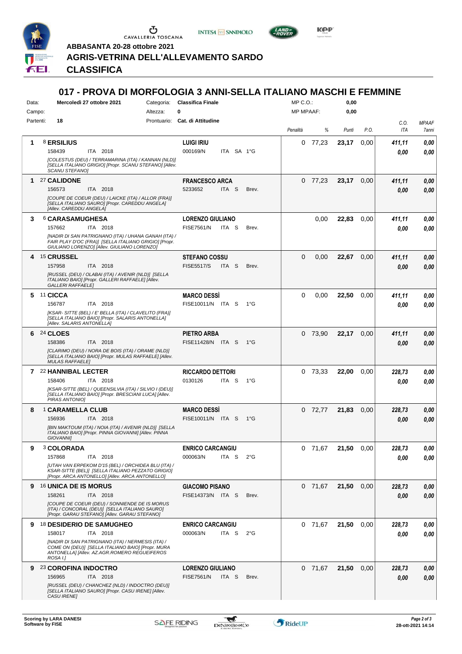

 $\begin{array}{c}\n\bullet \\
\bullet \\
\bullet \\
\bullet \\
\bullet\n\end{array}$  CAVALLERIA TOSCANA





**KPP** 

**ABBASANTA 20-28 ottobre 2021**

### **AGRIS-VETRINA DELL'ALLEVAMENTO SARDO**

*Equitation:* **CLASSIFICA**

# **017 - PROVA DI MORFOLOGIA 3 ANNI-SELLA ITALIANO MASCHI E FEMMINE**

| Data:     | Mercoledì 27 ottobre 2021<br>Categoria:                                                                                                                                                                              | <b>Classifica Finale</b>                                               | $MP C. O.$ :     | 0,00          |                |                       |
|-----------|----------------------------------------------------------------------------------------------------------------------------------------------------------------------------------------------------------------------|------------------------------------------------------------------------|------------------|---------------|----------------|-----------------------|
| Campo:    | 0<br>Altezza:                                                                                                                                                                                                        |                                                                        | MP MPAAF:        | 0,00          |                |                       |
| Partenti: | 18                                                                                                                                                                                                                   | Prontuario: Cat. di Attitudine                                         | %<br>Penalità    | Punti<br>P.O. | C.O.<br>ITA    | <b>MPAAF</b><br>7anni |
| 1         | 8 ERSILIUS<br>158439<br>ITA 2018<br>[COLESTUS (DEU) / TERRAMARINA (ITA) / KANNAN (NLD)]<br>[SELLA ITALIANO GRIGIO] [Propr. SCANU STEFANO] [Allev.<br>SCANU STEFANO]                                                  | <b>LUIGI IRIU</b><br>000169/N<br>ITA SA 1°G                            | $0$ 77,23        | 23,17<br>0,00 | 411,11<br>0.00 | 0,00<br>0.00          |
| 1         | 27 CALIDONE<br>156573<br>ITA 2018<br>[COUPE DE COEUR (DEU) / LAICKE (ITA) / ALLOR (FRA)]<br>[SELLA ITALIANO SAURO] [Propr. CAREDDU ANGELA]<br>[Allev. CAREDDU ANGELA]                                                | <b>FRANCESCO ARCA</b><br>5233652<br>ITA <sub>S</sub><br>Brev.          | $0$ 77,23        | 23,17<br>0,00 | 411,11<br>0.00 | 0,00<br>0,00          |
| 3         | <b>6 CARASAMUGHESA</b><br>157662<br>ITA 2018<br>[NADIR DI SAN PATRIGNANO (ITA) / UHANA GANAH (ITA) /<br>FAIR PLAY D'OC (FRA)] [SELLA ITALIANO GRIGIO] [Propr.<br>GIULIANO LORENZO] [Allev. GIULIANO LORENZO]         | <b>LORENZO GIULIANO</b><br><b>FISE7561/N</b><br>ITA S<br>Brev.         | 0,00             | 22,83<br>0,00 | 411,11<br>0.00 | 0,00<br>0,00          |
| 4         | <sup>15</sup> CRUSSEL<br>ITA 2018<br>157958<br>[RUSSEL (DEU) / OLABAI (ITA) / AVENIR (NLD)] [SELLA<br>ITALIANO BAIO] [Propr. GALLERI RAFFAELE] [Allev.<br><b>GALLERI RAFFAELEI</b>                                   | <b>STEFANO COSSU</b><br><b>FISE5517/S</b><br>ITA <sub>S</sub><br>Brev. | $\Omega$<br>0,00 | 22,67<br>0,00 | 411,11<br>0.00 | 0,00<br>0,00          |
| 5         | 11 CICCA<br>156787<br>ITA 2018<br>[KSAR-SITTE (BEL) / E' BELLA (ITA) / CLAVELITO (FRA)]<br>[SELLA ITALIANO BAIO] [Propr. SALARIS ANTONELLA]<br>[Allev. SALARIS ANTONELLA]                                            | <b>MARCO DESSI</b><br>FISE10011/N ITA S<br>$1^{\circ}G$                | 0<br>0,00        | 22,50<br>0.00 | 411,11<br>0.00 | 0,00<br>0,00          |
| 6         | <b>24 CLOES</b><br>158386<br>ITA 2018<br>[CLARIMO (DEU) / NORA DE BOIS (ITA) / ORAME (NLD)]<br>[SELLA ITALIANO BAIO] [Propr. MULAS RAFFAELE] [Allev.<br><b>MULAS RAFFAELE]</b>                                       | PIETRO ARBA<br>FISE11428/N ITA S<br>1°G                                | 0 73,90          | 22,17<br>0,00 | 411,11<br>0.00 | 0,00<br>0,00          |
| 7         | 22 HANNIBAL LECTER<br>ITA 2018<br>158406<br>[KSAR-SITTE (BEL) / QUEENSILVIA (ITA) / SILVIO I (DEU)]<br>[SELLA ITALIANO BAIO] [Propr. BRESCIANI LUCA] [Allev.<br>PIRAS ANTONIO]                                       | <b>RICCARDO DETTORI</b><br>0130126<br>ITA S<br>1°G                     | $0$ 73,33        | 22,00<br>0,00 | 228,73<br>0.00 | 0,00<br>0,00          |
| 8         | <sup>1</sup> CARAMELLA CLUB<br>156936<br>ITA 2018<br>[BIN MAKTOUM (ITA) / NOIA (ITA) / AVENIR (NLD)] [SELLA<br>ITALIANO BAIO] [Propr. PINNA GIOVANNI] [Allev. PINNA<br><b>GIOVANNII</b>                              | <b>MARCO DESSI</b><br>FISE10011/N ITA S<br>1°G                         | $0$ 72,77        | 21,83<br>0,00 | 228,73<br>0.00 | 0,00<br>0,00          |
| 9         | <b>3 COLORADA</b><br>157868<br>ITA 2018<br>[UTAH VAN ERPEKOM D'15 (BEL) / ORCHIDEA BLU (ITA) /<br>KSAR-SITTE (BEL)] [SELLA ITALIANO PEZZATO GRIGIO]<br>[Propr. ARCA ANTONELLO] [Allev. ARCA ANTONELLO]               | <b>ENRICO CARCANGIU</b><br>ITA S<br>000063/N<br>$2^{\circ}G$           | 0 71,67          | 21,50<br>0,00 | 228,73<br>0,00 | 0,00<br>0,00          |
| 9.        | <b>16 UNICA DE IS MORUS</b><br>158261<br>ITA 2018<br>[COUPE DE COEUR (DEU) / SONNIENDE DE IS MORUS<br>(ITA) / CONCORAL (DEU)] [SELLA ITALIANO SAURO]<br>[Propr. GARAU STEFANO] [Allev. GARAU STEFANO]                | <b>GIACOMO PISANO</b><br>FISE14373/N ITA S<br>Brev.                    | 0 71,67          | 21,50<br>0,00 | 228,73<br>0,00 | 0,00<br>0,00          |
| 9         | 18 DESIDERIO DE SAMUGHEO<br>158017<br>ITA 2018<br>[NADIR DI SAN PATRIGNANO (ITA) / NERMESIS (ITA) /<br>COME ON (DEU)] [SELLA ITALIANO BAIO] [Propr. MURA<br>ANTONELLA] [Allev. AZ.AGR.ROMERO REGUEIFEROS<br>ROSA I.] | <b>ENRICO CARCANGIU</b><br>000063/N<br>ITA S<br>$2^{\circ}$ G          | $0$ 71,67        | 21,50<br>0,00 | 228,73<br>0,00 | 0,00<br>0,00          |
| 9         | 23 COROFINA INDOCTRO<br>156965<br>ITA 2018<br>[RUSSEL (DEU) / CHANCHEZ (NLD) / INDOCTRO (DEU)]<br>[SELLA ITALIANO SAURO] [Propr. CASU IRENE] [Allev.<br>CASU IRENE]                                                  | <b>LORENZO GIULIANO</b><br><b>FISE7561/N</b><br>ITA S<br>Brev.         | $0$ 71,67        | 21,50<br>0,00 | 228,73<br>0,00 | 0,00<br>0,00          |